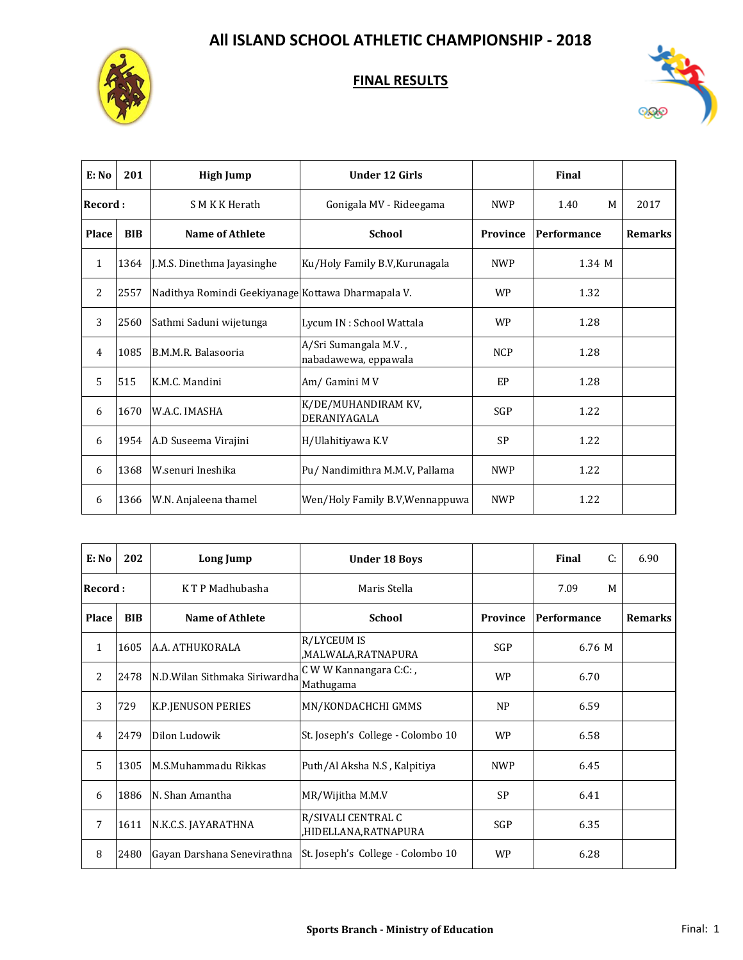



| E: No   | 201        | <b>High Jump</b>                                   | <b>Under 12 Girls</b>                         |            | Final       |                |
|---------|------------|----------------------------------------------------|-----------------------------------------------|------------|-------------|----------------|
| Record: |            | S M K K Herath                                     | Gonigala MV - Rideegama                       | <b>NWP</b> | 1.40<br>M   | 2017           |
| Place   | <b>BIB</b> | <b>Name of Athlete</b>                             | <b>School</b>                                 | Province   | Performance | <b>Remarks</b> |
| 1       | 1364       | J.M.S. Dinethma Jayasinghe                         | Ku/Holy Family B.V, Kurunagala                | <b>NWP</b> | 1.34 M      |                |
| 2       | 2557       | Nadithya Romindi Geekiyanage Kottawa Dharmapala V. |                                               | <b>WP</b>  | 1.32        |                |
| 3       | 2560       | Sathmi Saduni wijetunga                            | Lycum IN : School Wattala                     | <b>WP</b>  | 1.28        |                |
| 4       | 1085       | B.M.M.R. Balasooria                                | A/Sri Sumangala M.V.,<br>nabadawewa, eppawala | <b>NCP</b> | 1.28        |                |
| 5       | 515        | K.M.C. Mandini                                     | Am/Gamini MV                                  | <b>EP</b>  | 1.28        |                |
| 6       | 1670       | W.A.C. IMASHA                                      | K/DE/MUHANDIRAM KV,<br>DERANIYAGALA           | SGP        | 1.22        |                |
| 6       | 1954       | A.D Suseema Virajini                               | H/Ulahitiyawa K.V                             | SP         | 1.22        |                |
| 6       | 1368       | W.senuri Ineshika                                  | Pu/ Nandimithra M.M.V, Pallama                | <b>NWP</b> | 1.22        |                |
| 6       | 1366       | W.N. Anjaleena thamel                              | Wen/Holy Family B.V, Wennappuwa               | <b>NWP</b> | 1.22        |                |

| E: No        | 202        | Long Jump                      | <b>Under 18 Boys</b>                       |            | Final<br>C: | 6.90           |
|--------------|------------|--------------------------------|--------------------------------------------|------------|-------------|----------------|
| Record :     |            | K T P Madhubasha               | Maris Stella                               |            | 7.09<br>M   |                |
| <b>Place</b> | <b>BIB</b> | Name of Athlete                | <b>School</b>                              | Province   | Performance | <b>Remarks</b> |
| $\mathbf{1}$ | 1605       | A.A. ATHUKORALA                | <b>R/LYCEUM IS</b><br>MALWALA,RATNAPURA,   | <b>SGP</b> | 6.76 M      |                |
| 2            | 2478       | N.D. Wilan Sithmaka Siriwardha | C W W Kannangara C:C:,<br>Mathugama        | <b>WP</b>  | 6.70        |                |
| 3            | 729        | K.P.JENUSON PERIES             | MN/KONDACHCHI GMMS                         | NP         | 6.59        |                |
| 4            | 2479       | Dilon Ludowik                  | St. Joseph's College - Colombo 10          | <b>WP</b>  | 6.58        |                |
| 5            | 1305       | M.S.Muhammadu Rikkas           | Puth/Al Aksha N.S, Kalpitiya               | <b>NWP</b> | 6.45        |                |
| 6            | 1886       | N. Shan Amantha                | MR/Wijitha M.M.V                           | <b>SP</b>  | 6.41        |                |
| 7            | 1611       | N.K.C.S. JAYARATHNA            | R/SIVALI CENTRAL C<br>HIDELLANA,RATNAPURA, | <b>SGP</b> | 6.35        |                |
| 8            | 2480       | Gayan Darshana Senevirathna    | St. Joseph's College - Colombo 10          | <b>WP</b>  | 6.28        |                |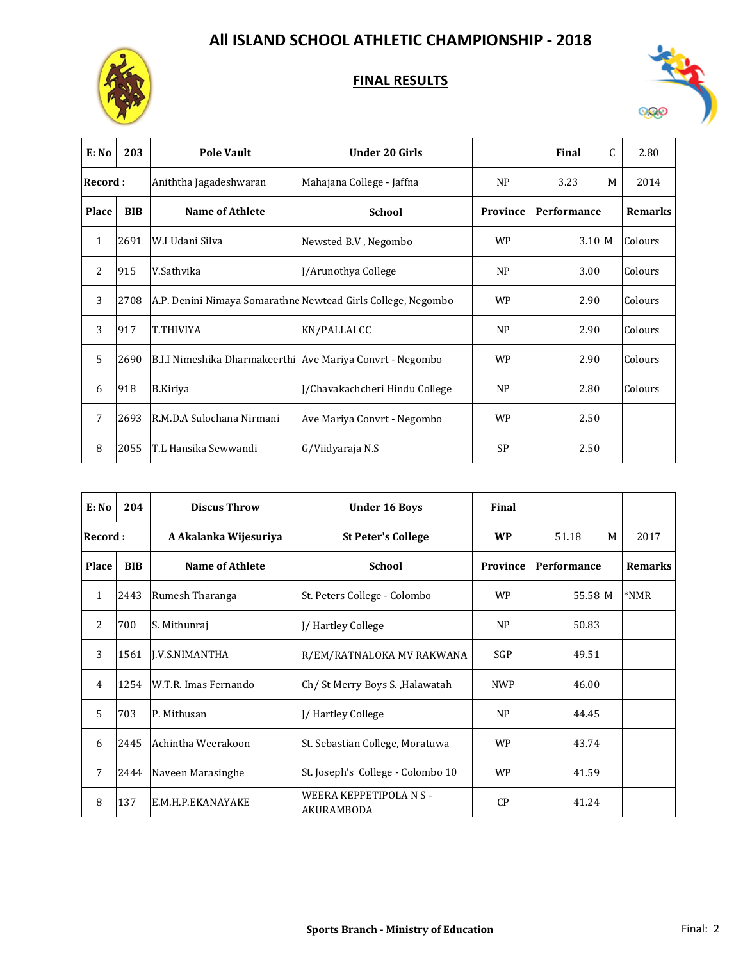



| E: No          | 203        | <b>Pole Vault</b>                                         | <b>Under 20 Girls</b>                                        |                 | Final<br>C  | 2.80           |
|----------------|------------|-----------------------------------------------------------|--------------------------------------------------------------|-----------------|-------------|----------------|
| Record :       |            | Aniththa Jagadeshwaran                                    | Mahajana College - Jaffna                                    | NP              | 3.23<br>M   | 2014           |
| Place          | <b>BIB</b> | <b>Name of Athlete</b>                                    | <b>School</b>                                                | <b>Province</b> | Performance | <b>Remarks</b> |
| $\mathbf{1}$   | 2691       | W.I Udani Silva                                           | Newsted B.V, Negombo                                         | <b>WP</b>       | 3.10 M      | Colours        |
| $\overline{2}$ | 915        | V.Sathvika                                                | J/Arunothya College                                          | <b>NP</b>       | 3.00        | Colours        |
| 3              | 2708       |                                                           | A.P. Denini Nimaya Somarathne Newtead Girls College, Negombo | <b>WP</b>       | 2.90        | Colours        |
| 3              | 917        | T.THIVIYA                                                 | KN/PALLAI CC                                                 | <b>NP</b>       | 2.90        | Colours        |
| 5              | 2690       | B.I.I Nimeshika Dharmakeerthi Ave Mariya Convrt - Negombo |                                                              | WP              | 2.90        | Colours        |
| 6              | 918        | B.Kiriya                                                  | J/Chavakachcheri Hindu College                               | NP              | 2.80        | Colours        |
| 7              | 2693       | R.M.D.A Sulochana Nirmani                                 | Ave Mariya Convrt - Negombo                                  | <b>WP</b>       | 2.50        |                |
| 8              | 2055       | T.L Hansika Sewwandi                                      | G/Viidyaraja N.S                                             | <b>SP</b>       | 2.50        |                |

| E: No        | 204        | <b>Discus Throw</b>    | <b>Under 16 Boys</b>                  | Final      |             |                |
|--------------|------------|------------------------|---------------------------------------|------------|-------------|----------------|
| Record:      |            | A Akalanka Wijesuriya  | <b>St Peter's College</b>             | <b>WP</b>  | 51.18<br>M  | 2017           |
| <b>Place</b> | <b>BIB</b> | <b>Name of Athlete</b> | <b>School</b>                         | Province   | Performance | <b>Remarks</b> |
| 1            | 2443       | Rumesh Tharanga        | St. Peters College - Colombo          | <b>WP</b>  | 55.58 M     | *NMR           |
| 2            | 700        | S. Mithunraj           | J/Hartley College                     | <b>NP</b>  | 50.83       |                |
| 3            | 1561       | <b>I.V.S.NIMANTHA</b>  | R/EM/RATNALOKA MV RAKWANA             | <b>SGP</b> | 49.51       |                |
| 4            | 1254       | W.T.R. Imas Fernando   | Ch/St Merry Boys S., Halawatah        | <b>NWP</b> | 46.00       |                |
| 5            | 703        | P. Mithusan            | J/Hartley College                     | <b>NP</b>  | 44.45       |                |
| 6            | 2445       | Achintha Weerakoon     | St. Sebastian College, Moratuwa       | <b>WP</b>  | 43.74       |                |
| 7            | 2444       | Naveen Marasinghe      | St. Joseph's College - Colombo 10     | <b>WP</b>  | 41.59       |                |
| 8            | 137        | E.M.H.P.EKANAYAKE      | WEERA KEPPETIPOLA N S -<br>AKURAMBODA | CP         | 41.24       |                |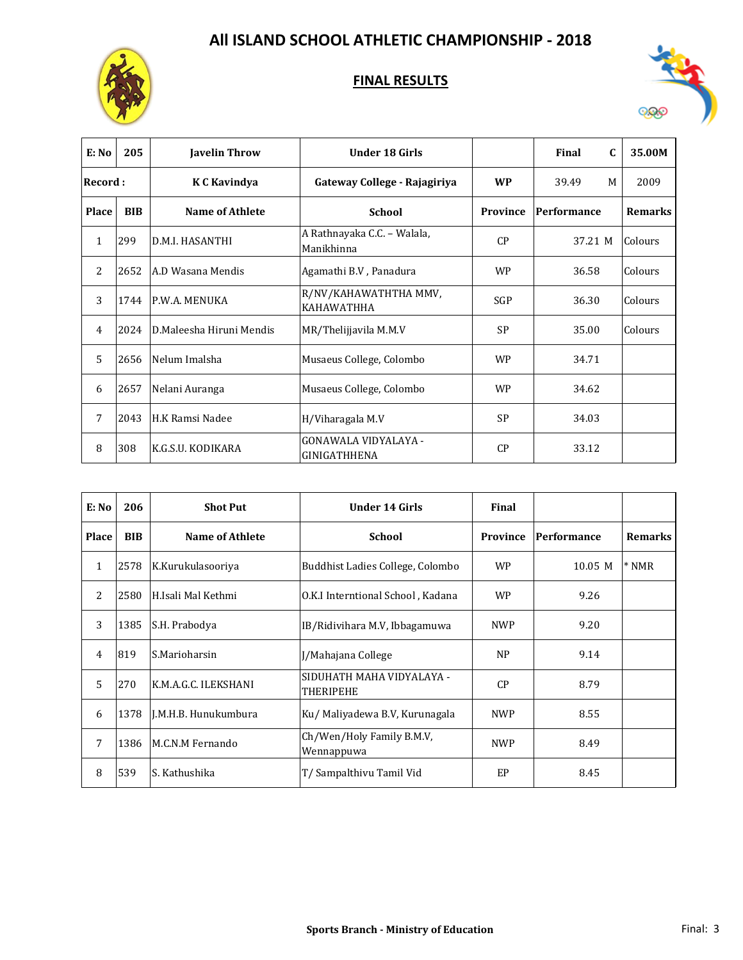



| E: No          | 205        | <b>Javelin Throw</b>     | <b>Under 18 Girls</b>                       |            | Final<br>C  | 35.00M         |
|----------------|------------|--------------------------|---------------------------------------------|------------|-------------|----------------|
| Record :       |            | K C Kavindya             | Gateway College - Rajagiriya                | <b>WP</b>  | 39.49<br>M  | 2009           |
| <b>Place</b>   | <b>BIB</b> | <b>Name of Athlete</b>   | <b>School</b>                               | Province   | Performance | <b>Remarks</b> |
| $\mathbf{1}$   | 299        | D.M.I. HASANTHI          | A Rathnayaka C.C. - Walala,<br>Manikhinna   | CP         | 37.21 M     | Colours        |
| 2              | 2652       | A.D Wasana Mendis        | Agamathi B.V, Panadura                      | <b>WP</b>  | 36.58       | Colours        |
| 3              | 1744       | P.W.A. MENUKA            | R/NV/KAHAWATHTHA MMV,<br><b>KAHAWATHHA</b>  | <b>SGP</b> | 36.30       | Colours        |
| $\overline{4}$ | 2024       | D.Maleesha Hiruni Mendis | MR/Thelijjavila M.M.V                       | <b>SP</b>  | 35.00       | Colours        |
| 5              | 2656       | Nelum Imalsha            | Musaeus College, Colombo                    | <b>WP</b>  | 34.71       |                |
| 6              | 2657       | Nelani Auranga           | Musaeus College, Colombo                    | <b>WP</b>  | 34.62       |                |
| 7              | 2043       | H.K Ramsi Nadee          | H/Viharagala M.V                            | <b>SP</b>  | 34.03       |                |
| 8              | 308        | K.G.S.U. KODIKARA        | <b>GONAWALA VIDYALAYA -</b><br>GINIGATHHENA | CP         | 33.12       |                |

| E: No          | 206        | <b>Shot Put</b>      | <b>Under 14 Girls</b>                   | Final           |             |                |
|----------------|------------|----------------------|-----------------------------------------|-----------------|-------------|----------------|
| <b>Place</b>   | <b>BIB</b> | Name of Athlete      | <b>School</b>                           | <b>Province</b> | Performance | <b>Remarks</b> |
| $\mathbf{1}$   | 2578       | K.Kurukulasooriya    | Buddhist Ladies College, Colombo        | <b>WP</b>       | 10.05 M     | $*NMR$         |
| 2              | 2580       | H.Isali Mal Kethmi   | O.K.I Interntional School, Kadana       | <b>WP</b>       | 9.26        |                |
| 3              | 1385       | S.H. Prabodya        | IB/Ridivihara M.V. Ibbagamuwa           | <b>NWP</b>      | 9.20        |                |
| $\overline{4}$ | 819        | S.Marioharsin        | J/Mahajana College                      | <b>NP</b>       | 9.14        |                |
| 5              | 270        | K.M.A.G.C. ILEKSHANI | SIDUHATH MAHA VIDYALAYA -<br>THERIPEHE  | CP              | 8.79        |                |
| 6              | 1378       | I.M.H.B. Hunukumbura | Ku/ Maliyadewa B.V, Kurunagala          | <b>NWP</b>      | 8.55        |                |
| 7              | 1386       | M.C.N.M Fernando     | Ch/Wen/Holy Family B.M.V,<br>Wennappuwa | <b>NWP</b>      | 8.49        |                |
| 8              | 539        | S. Kathushika        | T/ Sampalthivu Tamil Vid                | <b>EP</b>       | 8.45        |                |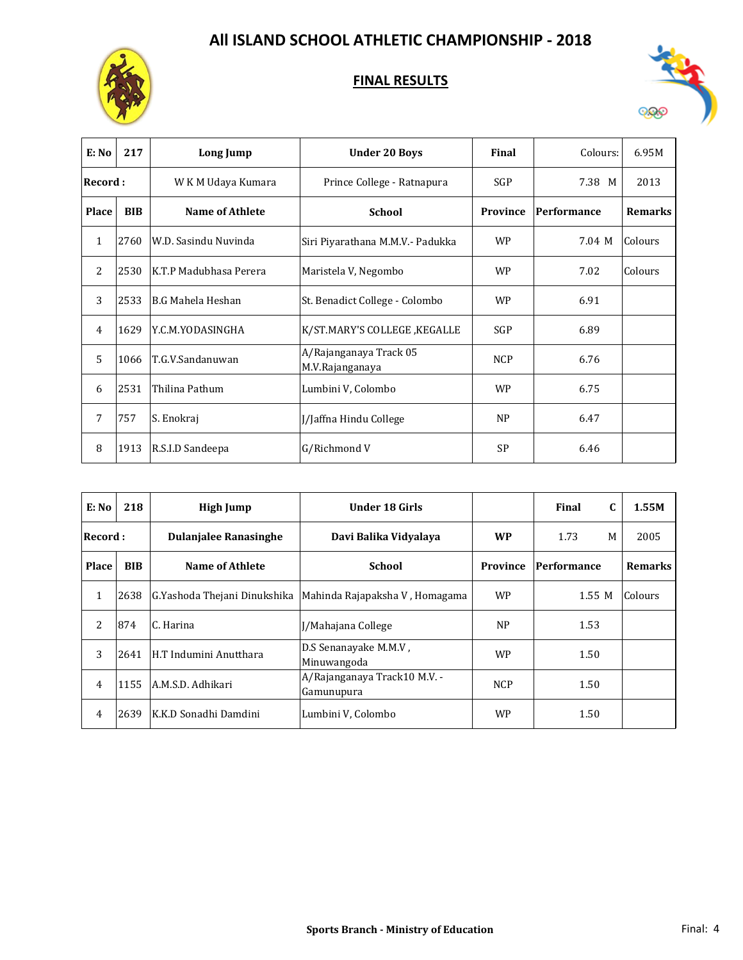



| E: No          | 217        | Long Jump                | <b>Under 20 Boys</b>                      | Final      | Colours:    | 6.95M          |
|----------------|------------|--------------------------|-------------------------------------------|------------|-------------|----------------|
| Record :       |            | W K M Udaya Kumara       | Prince College - Ratnapura                | <b>SGP</b> | 7.38 M      | 2013           |
| <b>Place</b>   | <b>BIB</b> | <b>Name of Athlete</b>   | <b>School</b>                             | Province   | Performance | <b>Remarks</b> |
| 1              | 2760       | W.D. Sasindu Nuvinda     | Siri Piyarathana M.M.V.- Padukka          | <b>WP</b>  | 7.04 M      | Colours        |
| $\overline{2}$ | 2530       | K.T.P Madubhasa Perera   | Maristela V, Negombo                      | <b>WP</b>  | 7.02        | Colours        |
| 3              | 2533       | <b>B.G Mahela Heshan</b> | St. Benadict College - Colombo            | <b>WP</b>  | 6.91        |                |
| $\overline{4}$ | 1629       | Y.C.M.YODASINGHA         | K/ST.MARY'S COLLEGE , KEGALLE             | SGP        | 6.89        |                |
| $\overline{5}$ | 1066       | T.G.V.Sandanuwan         | A/Rajanganaya Track 05<br>M.V.Rajanganaya | <b>NCP</b> | 6.76        |                |
| 6              | 2531       | Thilina Pathum           | Lumbini V, Colombo                        | <b>WP</b>  | 6.75        |                |
| 7              | 757        | S. Enokraj               | J/Jaffna Hindu College                    | NP         | 6.47        |                |
| 8              | 1913       | R.S.I.D Sandeepa         | G/Richmond V                              | <b>SP</b>  | 6.46        |                |

| E: No          | 218        | High Jump                    | Under 18 Girls                             |                 | $\mathbf{C}$<br>Final | 1.55M          |
|----------------|------------|------------------------------|--------------------------------------------|-----------------|-----------------------|----------------|
| Record :       |            | <b>Dulanjalee Ranasinghe</b> | Davi Balika Vidyalaya                      | <b>WP</b>       | 1.73<br>M             | 2005           |
| Place          | <b>BIB</b> | Name of Athlete              | School                                     | <b>Province</b> | Performance           | <b>Remarks</b> |
| $\mathbf{1}$   | 2638       | G.Yashoda Thejani Dinukshika | Mahinda Rajapaksha V, Homagama             | <b>WP</b>       | 1.55 M                | Colours        |
| 2              | 874        | C. Harina                    | I/Mahajana College                         | N <sub>P</sub>  | 1.53                  |                |
| 3              | 2641       | H.T Indumini Anutthara       | D.S Senanayake M.M.V.<br>Minuwangoda       | <b>WP</b>       | 1.50                  |                |
| $\overline{4}$ | 1155       | A.M.S.D. Adhikari            | A/Rajanganaya Track10 M.V. -<br>Gamunupura | <b>NCP</b>      | 1.50                  |                |
| 4              | 2639       | K.K.D Sonadhi Damdini        | Lumbini V. Colombo                         | <b>WP</b>       | 1.50                  |                |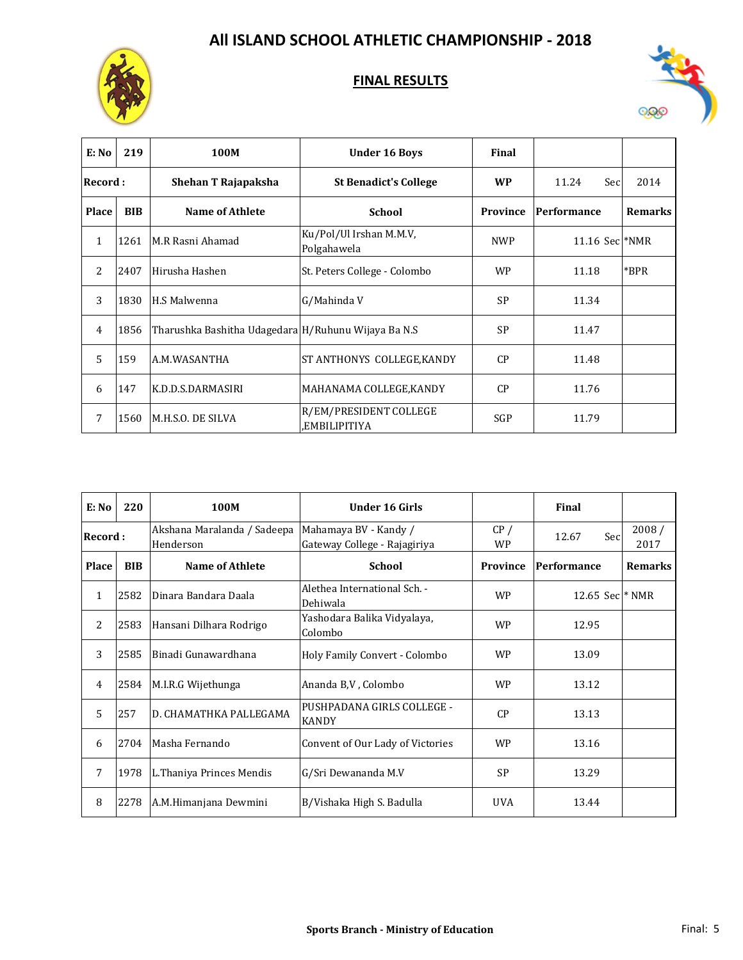



| E: No        | 219        | 100M                                                | <b>Under 16 Boys</b>                    | Final           |                    |                |
|--------------|------------|-----------------------------------------------------|-----------------------------------------|-----------------|--------------------|----------------|
| Record:      |            | Shehan T Rajapaksha                                 | <b>St Benadict's College</b>            | <b>WP</b>       | Sec<br>11.24       | 2014           |
| <b>Place</b> | <b>BIB</b> | Name of Athlete                                     | <b>School</b>                           | <b>Province</b> | Performance        | <b>Remarks</b> |
| 1            | 1261       | M.R Rasni Ahamad                                    | Ku/Pol/Ul Irshan M.M.V,<br>Polgahawela  | <b>NWP</b>      | $11.16$ Sec $*NMR$ |                |
| 2            | 2407       | Hirusha Hashen                                      | St. Peters College - Colombo            | <b>WP</b>       | 11.18              | *BPR           |
| 3            | 1830       | H.S Malwenna                                        | G/Mahinda V                             | <b>SP</b>       | 11.34              |                |
| 4            | 1856       | Tharushka Bashitha Udagedara H/Ruhunu Wijaya Ba N.S |                                         | <b>SP</b>       | 11.47              |                |
| 5            | 159        | A.M.WASANTHA                                        | ST ANTHONYS COLLEGE, KANDY              | CP              | 11.48              |                |
| 6            | 147        | K.D.D.S.DARMASIRI                                   | MAHANAMA COLLEGE, KANDY                 | CP              | 11.76              |                |
| 7            | 1560       | M.H.S.O. DE SILVA                                   | R/EM/PRESIDENT COLLEGE<br>,EMBILIPITIYA | SGP             | 11.79              |                |

| E: No        | 220        | 100M                                     | <b>Under 16 Girls</b>                                 |                  | Final             |                |
|--------------|------------|------------------------------------------|-------------------------------------------------------|------------------|-------------------|----------------|
| Record:      |            | Akshana Maralanda / Sadeepa<br>Henderson | Mahamaya BV - Kandy /<br>Gateway College - Rajagiriya | CP/<br><b>WP</b> | Secl<br>12.67     | 2008/<br>2017  |
| <b>Place</b> | <b>BIB</b> | Name of Athlete                          | <b>School</b>                                         | Province         | Performance       | <b>Remarks</b> |
| 1            | 2582       | Dinara Bandara Daala                     | Alethea International Sch. -<br>Dehiwala              | <b>WP</b>        | 12.65 Sec $*$ NMR |                |
| 2            | 2583       | Hansani Dilhara Rodrigo                  | Yashodara Balika Vidyalaya,<br>Colombo                | <b>WP</b>        | 12.95             |                |
| 3            | 2585       | Binadi Gunawardhana                      | Holy Family Convert - Colombo                         | <b>WP</b>        | 13.09             |                |
| 4            | 2584       | M.I.R.G Wijethunga                       | Ananda B, V, Colombo                                  | <b>WP</b>        | 13.12             |                |
| 5            | 257        | D. CHAMATHKA PALLEGAMA                   | PUSHPADANA GIRLS COLLEGE -<br><b>KANDY</b>            | CP               | 13.13             |                |
| 6            | 2704       | Masha Fernando                           | Convent of Our Lady of Victories                      | <b>WP</b>        | 13.16             |                |
| 7            | 1978       | L. Thaniya Princes Mendis                | G/Sri Dewananda M.V                                   | <b>SP</b>        | 13.29             |                |
| 8            | 2278       | A.M.Himanjana Dewmini                    | B/Vishaka High S. Badulla                             | <b>UVA</b>       | 13.44             |                |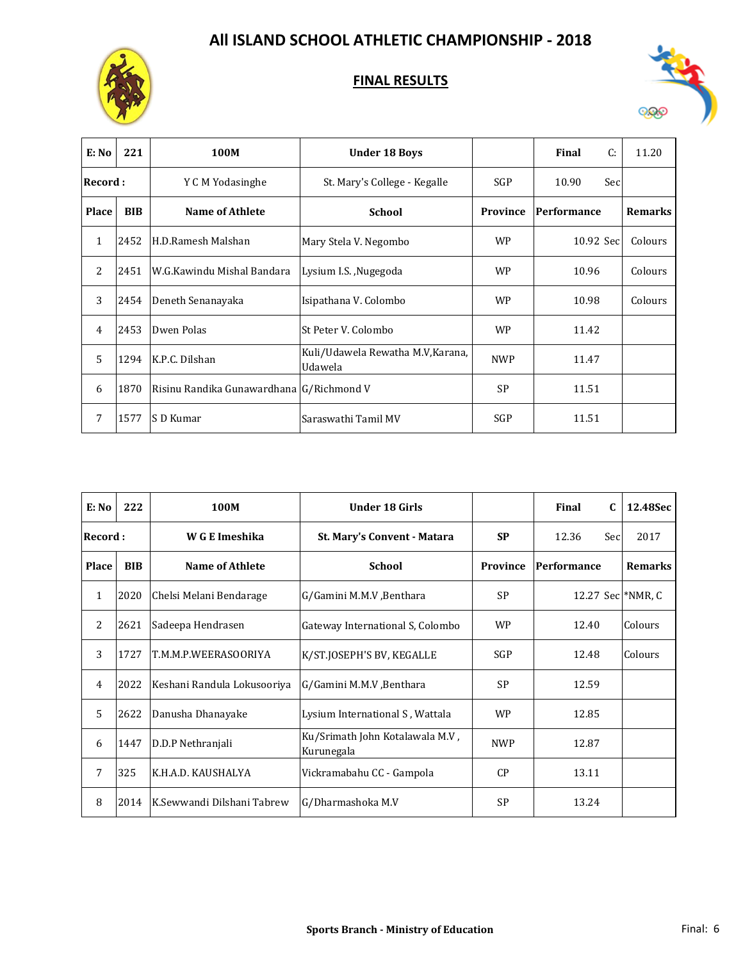



| E: No          | 221        | 100M                                     | <b>Under 18 Boys</b>                         |            | C:<br>Final  | 11.20          |
|----------------|------------|------------------------------------------|----------------------------------------------|------------|--------------|----------------|
| Record :       |            | Y C M Yodasinghe                         | St. Mary's College - Kegalle                 | SGP        | Sec<br>10.90 |                |
| <b>Place</b>   | <b>BIB</b> | <b>Name of Athlete</b>                   | <b>School</b>                                | Province   | Performance  | <b>Remarks</b> |
| $\mathbf{1}$   | 2452       | H.D.Ramesh Malshan                       | Mary Stela V. Negombo                        | <b>WP</b>  | 10.92 Sec    | Colours        |
| 2              | 2451       | W.G.Kawindu Mishal Bandara               | Lysium I.S. , Nugegoda                       | <b>WP</b>  | 10.96        | Colours        |
| 3              | 2454       | Deneth Senanayaka                        | Isipathana V. Colombo                        | <b>WP</b>  | 10.98        | Colours        |
| $\overline{4}$ | 2453       | Dwen Polas                               | St Peter V. Colombo                          | <b>WP</b>  | 11.42        |                |
| 5              | 1294       | K.P.C. Dilshan                           | Kuli/Udawela Rewatha M.V, Karana,<br>Udawela | <b>NWP</b> | 11.47        |                |
| 6              | 1870       | Risinu Randika Gunawardhana G/Richmond V |                                              | <b>SP</b>  | 11.51        |                |
| 7              | 1577       | S D Kumar                                | Saraswathi Tamil MV                          | SGP        | 11.51        |                |

| E: No        | 222        | 100M                        | <b>Under 18 Girls</b>                         |            | Final<br>$\mathbf{C}$ | 12.48Sec       |
|--------------|------------|-----------------------------|-----------------------------------------------|------------|-----------------------|----------------|
| Record :     |            | W G E Imeshika              | St. Mary's Convent - Matara                   | <b>SP</b>  | 12.36<br>Sec          | 2017           |
| <b>Place</b> | <b>BIB</b> | <b>Name of Athlete</b>      | <b>School</b>                                 | Province   | Performance           | <b>Remarks</b> |
| $\mathbf{1}$ | 2020       | Chelsi Melani Bendarage     | G/Gamini M.M.V , Benthara                     | <b>SP</b>  | 12.27 Sec *NMR, C     |                |
| 2            | 2621       | Sadeepa Hendrasen           | Gateway International S, Colombo              | <b>WP</b>  | 12.40                 | Colours        |
| 3            | 1727       | T.M.M.P.WEERASOORIYA        | K/ST.JOSEPH'S BV, KEGALLE                     | <b>SGP</b> | 12.48                 | Colours        |
| 4            | 2022       | Keshani Randula Lokusooriya | G/Gamini M.M.V , Benthara                     | <b>SP</b>  | 12.59                 |                |
| 5            | 2622       | Danusha Dhanayake           | Lysium International S, Wattala               | <b>WP</b>  | 12.85                 |                |
| 6            | 1447       | D.D.P Nethranjali           | Ku/Srimath John Kotalawala M.V,<br>Kurunegala | <b>NWP</b> | 12.87                 |                |
| 7            | 325        | K.H.A.D. KAUSHALYA          | Vickramabahu CC - Gampola                     | CP         | 13.11                 |                |
| 8            | 2014       | K.Sewwandi Dilshani Tabrew  | G/Dharmashoka M.V                             | <b>SP</b>  | 13.24                 |                |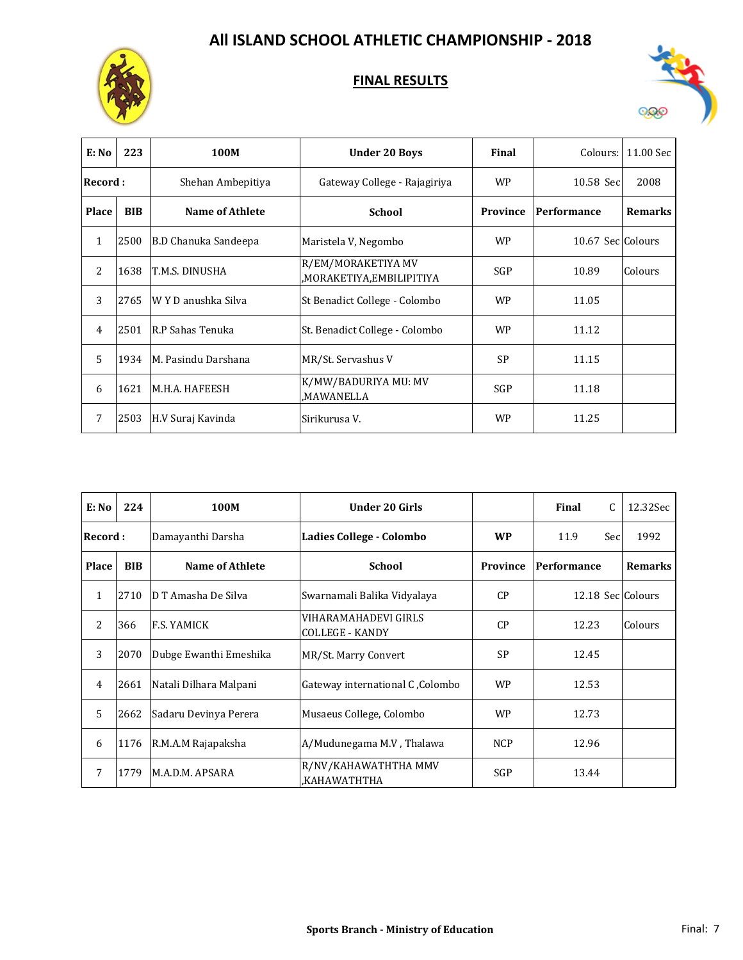



| E: No        | 223        | 100M                        | <b>Under 20 Boys</b>                           | Final      | Colours:          | 11.00 Sec      |
|--------------|------------|-----------------------------|------------------------------------------------|------------|-------------------|----------------|
| Record:      |            | Shehan Ambepitiya           | Gateway College - Rajagiriya                   | <b>WP</b>  | 10.58 Sec         | 2008           |
| <b>Place</b> | <b>BIB</b> | <b>Name of Athlete</b>      | <b>School</b>                                  | Province   | Performance       | <b>Remarks</b> |
| $\mathbf{1}$ | 2500       | <b>B.D Chanuka Sandeepa</b> | Maristela V, Negombo                           | <b>WP</b>  | 10.67 Sec Colours |                |
| 2            | 1638       | T.M.S. DINUSHA              | R/EM/MORAKETIYA MV<br>,MORAKETIYA,EMBILIPITIYA | <b>SGP</b> | 10.89             | Colours        |
| 3            | 2765       | W Y D anushka Silva         | St Benadict College - Colombo                  | <b>WP</b>  | 11.05             |                |
| 4            | 2501       | R.P Sahas Tenuka            | St. Benadict College - Colombo                 | <b>WP</b>  | 11.12             |                |
| 5            | 1934       | M. Pasindu Darshana         | MR/St. Servashus V                             | <b>SP</b>  | 11.15             |                |
| 6            | 1621       | M.H.A. HAFEESH              | K/MW/BADURIYA MU: MV<br>MAWANELLA,             | <b>SGP</b> | 11.18             |                |
| 7            | 2503       | H.V Suraj Kavinda           | Sirikurusa V.                                  | <b>WP</b>  | 11.25             |                |

| E: No          | 224        | 100M                   | <b>Under 20 Girls</b>                          |            | Final<br>$\mathsf{C}$ | 12.32Sec       |
|----------------|------------|------------------------|------------------------------------------------|------------|-----------------------|----------------|
| Record :       |            | Damayanthi Darsha      | Ladies College - Colombo                       | <b>WP</b>  | 11.9<br>Sec           | 1992           |
| Place          | <b>BIB</b> | <b>Name of Athlete</b> | <b>School</b>                                  | Province   | Performance           | <b>Remarks</b> |
| 1              | 2710       | D T Amasha De Silva    | Swarnamali Balika Vidyalaya                    | CP         | 12.18 Sec Colours     |                |
| $\overline{2}$ | 366        | <b>F.S. YAMICK</b>     | VIHARAMAHADEVI GIRLS<br><b>COLLEGE - KANDY</b> | CP         | 12.23                 | Colours        |
| 3              | 2070       | Dubge Ewanthi Emeshika | MR/St. Marry Convert                           | <b>SP</b>  | 12.45                 |                |
| 4              | 2661       | Natali Dilhara Malpani | Gateway international C, Colombo               | <b>WP</b>  | 12.53                 |                |
| 5              | 2662       | Sadaru Devinya Perera  | Musaeus College, Colombo                       | <b>WP</b>  | 12.73                 |                |
| 6              | 1176       | R.M.A.M Rajapaksha     | A/Mudunegama M.V, Thalawa                      | <b>NCP</b> | 12.96                 |                |
| 7              | 1779       | M.A.D.M. APSARA        | R/NV/KAHAWATHTHA MMV<br>KAHAWATHTHA,           | <b>SGP</b> | 13.44                 |                |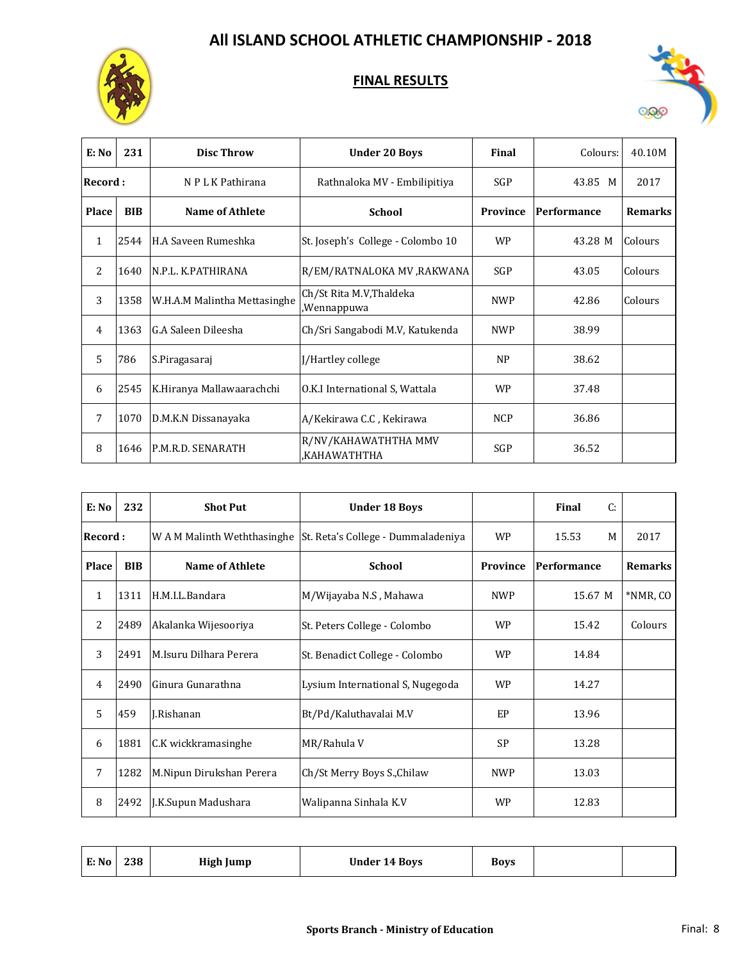



| E: No        | 231        | <b>Disc Throw</b>            | <b>Under 20 Boys</b>                    | Final      | Colours:    | 40.10M         |
|--------------|------------|------------------------------|-----------------------------------------|------------|-------------|----------------|
| Record :     |            | N P L K Pathirana            | Rathnaloka MV - Embilipitiya            | SGP        | 43.85 M     | 2017           |
| Place        | <b>BIB</b> | <b>Name of Athlete</b>       | <b>School</b>                           | Province   | Performance | <b>Remarks</b> |
| $\mathbf{1}$ | 2544       | H.A Saveen Rumeshka          | St. Joseph's College - Colombo 10       | <b>WP</b>  | 43.28 M     | Colours        |
| 2            | 1640       | N.P.L. K.PATHIRANA           | R/EM/RATNALOKA MV ,RAKWANA              | SGP        | 43.05       | Colours        |
| 3            | 1358       | W.H.A.M Malintha Mettasinghe | Ch/St Rita M.V, Thaldeka<br>,Wennappuwa | <b>NWP</b> | 42.86       | Colours        |
| 4            | 1363       | G.A Saleen Dileesha          | Ch/Sri Sangabodi M.V, Katukenda         | <b>NWP</b> | 38.99       |                |
| 5            | 786        | S.Piragasaraj                | J/Hartley college                       | NP         | 38.62       |                |
| 6            | 2545       | K.Hiranya Mallawaarachchi    | O.K.I International S, Wattala          | <b>WP</b>  | 37.48       |                |
| 7            | 1070       | D.M.K.N Dissanayaka          | A/Kekirawa C.C , Kekirawa               | <b>NCP</b> | 36.86       |                |
| 8            | 1646       | P.M.R.D. SENARATH            | R/NV/KAHAWATHTHA MMV<br>KAHAWATHTHA,    | SGP        | 36.52       |                |

| E: No        | 232        | <b>Shot Put</b>             | <b>Under 18 Boys</b>               |            | C:<br>Final |                |
|--------------|------------|-----------------------------|------------------------------------|------------|-------------|----------------|
| Record :     |            | W A M Malinth Weththasinghe | St. Reta's College - Dummaladeniya | <b>WP</b>  | 15.53<br>M  | 2017           |
| <b>Place</b> | <b>BIB</b> | <b>Name of Athlete</b>      | <b>School</b>                      | Province   | Performance | <b>Remarks</b> |
| 1            | 1311       | H.M.I.L.Bandara             | M/Wijayaba N.S , Mahawa            | <b>NWP</b> | 15.67 M     | *NMR, CO       |
| 2            | 2489       | Akalanka Wijesooriya        | St. Peters College - Colombo       | <b>WP</b>  | 15.42       | Colours        |
| 3            | 2491       | M.Isuru Dilhara Perera      | St. Benadict College - Colombo     | <b>WP</b>  | 14.84       |                |
| 4            | 2490       | Ginura Gunarathna           | Lysium International S, Nugegoda   | <b>WP</b>  | 14.27       |                |
| 5            | 459        | J.Rishanan                  | Bt/Pd/Kaluthavalai M.V             | EP         | 13.96       |                |
| 6            | 1881       | C.K wickkramasinghe         | MR/Rahula V                        | <b>SP</b>  | 13.28       |                |
| 7            | 1282       | M.Nipun Dirukshan Perera    | Ch/St Merry Boys S., Chilaw        | <b>NWP</b> | 13.03       |                |
| 8            | 2492       | J.K.Supun Madushara         | Walipanna Sinhala K.V              | <b>WP</b>  | 12.83       |                |

| 238<br>E: No<br><b>High Jump</b><br><b>Under 14 Boys</b><br><b>BOVS</b> |  |
|-------------------------------------------------------------------------|--|
|-------------------------------------------------------------------------|--|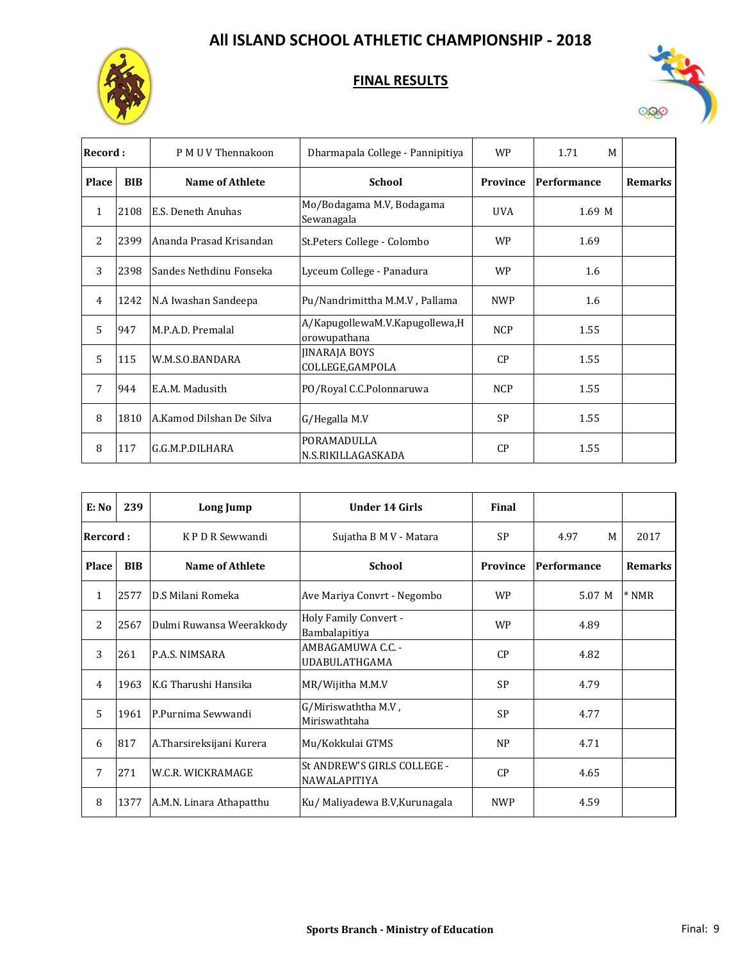



| Record:        |            | P M U V Thennakoon       | Dharmapala College - Pannipitiya               | <b>WP</b>  | M<br>1.71   |                |
|----------------|------------|--------------------------|------------------------------------------------|------------|-------------|----------------|
| Place          | <b>BIB</b> | Name of Athlete          | <b>School</b>                                  | Province   | Performance | <b>Remarks</b> |
| $\mathbf{1}$   | 2108       | E.S. Deneth Anuhas       | Mo/Bodagama M.V, Bodagama<br>Sewanagala        | <b>UVA</b> | 1.69 M      |                |
| $\overline{2}$ | 2399       | Ananda Prasad Krisandan  | St. Peters College - Colombo                   | <b>WP</b>  | 1.69        |                |
| 3              | 2398       | Sandes Nethdinu Fonseka  | Lyceum College - Panadura                      | <b>WP</b>  | 1.6         |                |
| $\overline{4}$ | 1242       | N.A Iwashan Sandeepa     | Pu/Nandrimittha M.M.V, Pallama                 | <b>NWP</b> | 1.6         |                |
| 5              | 947        | M.P.A.D. Premalal        | A/KapugollewaM.V.Kapugollewa,H<br>orowupathana | <b>NCP</b> | 1.55        |                |
| 5              | 115        | W.M.S.O.BANDARA          | <b>JINARAJA BOYS</b><br>COLLEGE, GAMPOLA       | CP         | 1.55        |                |
| 7              | 944        | E.A.M. Madusith          | PO/Royal C.C.Polonnaruwa                       | <b>NCP</b> | 1.55        |                |
| 8              | 1810       | A.Kamod Dilshan De Silva | G/Hegalla M.V                                  | <b>SP</b>  | 1.55        |                |
| 8              | 117        | G.G.M.P.DILHARA          | PORAMADULLA<br>N.S.RIKILLAGASKADA              | CP         | 1.55        |                |

| E: No        | 239        | <b>Long Jump</b>         | <b>Under 14 Girls</b>                              | Final           |             |                |
|--------------|------------|--------------------------|----------------------------------------------------|-----------------|-------------|----------------|
| Rercord:     |            | KPDR Sewwandi            | Sujatha B M V - Matara                             | <b>SP</b>       | 4.97<br>M   | 2017           |
| <b>Place</b> | <b>BIB</b> | <b>Name of Athlete</b>   | <b>School</b>                                      | <b>Province</b> | Performance | <b>Remarks</b> |
| 1            | 2577       | D.S Milani Romeka        | Ave Mariya Convrt - Negombo                        | <b>WP</b>       | 5.07 M      | $*NMR$         |
| 2            | 2567       | Dulmi Ruwansa Weerakkody | Holy Family Convert -<br>Bambalapitiya             | <b>WP</b>       | 4.89        |                |
| 3            | 261        | P.A.S. NIMSARA           | AMBAGAMUWA C.C. -<br>UDABULATHGAMA                 | CP              | 4.82        |                |
| 4            | 1963       | K.G Tharushi Hansika     | MR/Wijitha M.M.V                                   | <b>SP</b>       | 4.79        |                |
| 5            | 1961       | P.Purnima Sewwandi       | G/Miriswaththa M.V,<br>Miriswathtaha               | <b>SP</b>       | 4.77        |                |
| 6            | 817        | A.Tharsireksijani Kurera | Mu/Kokkulai GTMS                                   | <b>NP</b>       | 4.71        |                |
| 7            | 271        | W.C.R. WICKRAMAGE        | St ANDREW'S GIRLS COLLEGE -<br><b>NAWALAPITIYA</b> | CP              | 4.65        |                |
| 8            | 1377       | A.M.N. Linara Athapatthu | Ku/ Maliyadewa B.V, Kurunagala                     | <b>NWP</b>      | 4.59        |                |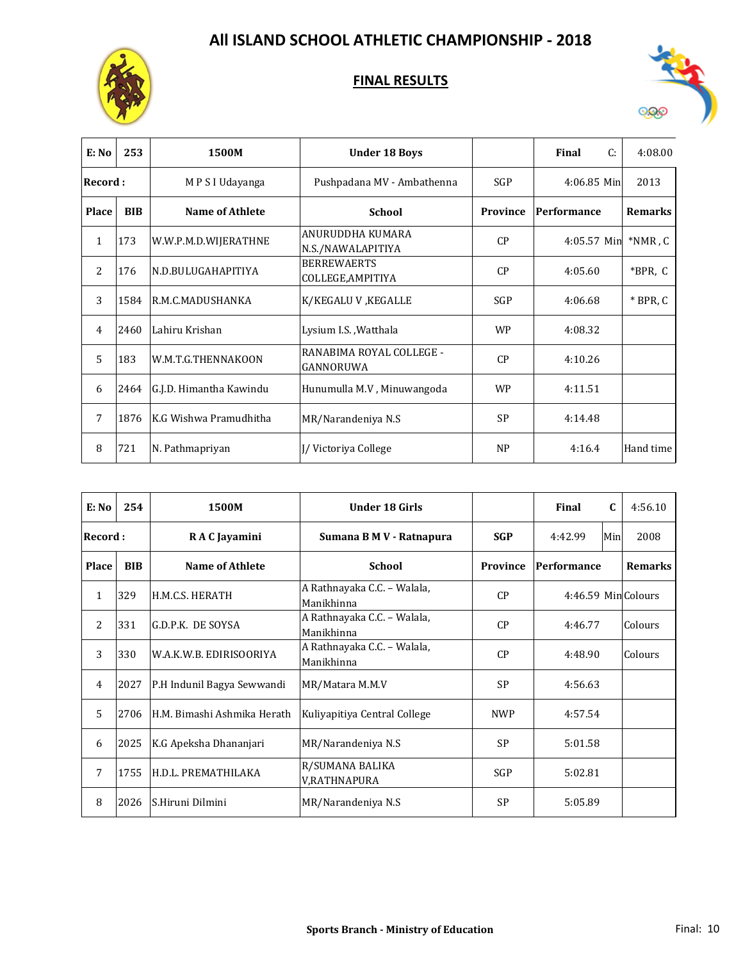



| E: No        | 253        | 1500M                   | <b>Under 18 Boys</b>                    |            | Final<br>C:   | 4:08.00        |
|--------------|------------|-------------------------|-----------------------------------------|------------|---------------|----------------|
| Record:      |            | M P S I Udayanga        | Pushpadana MV - Ambathenna              | <b>SGP</b> | $4:06.85$ Min | 2013           |
| <b>Place</b> | <b>BIB</b> | <b>Name of Athlete</b>  | <b>School</b>                           | Province   | Performance   | <b>Remarks</b> |
| $\mathbf{1}$ | 173        | W.W.P.M.D.WIJERATHNE    | ANURUDDHA KUMARA<br>N.S./NAWALAPITIYA   | CP         | 4:05.57 Min   | $*NMR$ , $C$   |
| 2            | 176        | N.D.BULUGAHAPITIYA      | <b>BERREWAERTS</b><br>COLLEGE, AMPITIYA | CP         | 4:05.60       | *BPR, C        |
| 3            | 1584       | R.M.C.MADUSHANKA        | K/KEGALU V, KEGALLE                     | SGP        | 4:06.68       | $*$ BPR, C     |
| 4            | 2460       | Lahiru Krishan          | Lysium I.S., Watthala                   | <b>WP</b>  | 4:08.32       |                |
| 5            | 183        | W.M.T.G.THENNAKOON      | RANABIMA ROYAL COLLEGE -<br>GANNORUWA   | CP         | 4:10.26       |                |
| 6            | 2464       | G.J.D. Himantha Kawindu | Hunumulla M.V, Minuwangoda              | <b>WP</b>  | 4:11.51       |                |
| 7            | 1876       | K.G Wishwa Pramudhitha  | MR/Narandeniya N.S                      | <b>SP</b>  | 4:14.48       |                |
| 8            | 721        | N. Pathmapriyan         | I/Victoriya College                     | <b>NP</b>  | 4:16.4        | Hand time      |

| E: No        | 254        | 1500M                       | <b>Under 18 Girls</b>                     |            | Final              | $\mathbf{C}$ | 4:56.10        |
|--------------|------------|-----------------------------|-------------------------------------------|------------|--------------------|--------------|----------------|
| Record:      |            | R A C Jayamini              | Sumana B M V - Ratnapura                  | <b>SGP</b> | 4:42.99            | Min          | 2008           |
| <b>Place</b> | <b>BIB</b> | <b>Name of Athlete</b>      | <b>School</b>                             | Province   | Performance        |              | <b>Remarks</b> |
| $\mathbf{1}$ | 329        | H.M.C.S. HERATH             | A Rathnayaka C.C. - Walala,<br>Manikhinna | CP         | 4:46.59 MinColours |              |                |
| 2            | 331        | G.D.P.K. DE SOYSA           | A Rathnayaka C.C. - Walala,<br>Manikhinna | CP         | 4:46.77            |              | Colours        |
| 3            | 330        | W.A.K.W.B. EDIRISOORIYA     | A Rathnayaka C.C. - Walala,<br>Manikhinna | CP         | 4:48.90            |              | Colours        |
| 4            | 2027       | P.H Indunil Bagya Sewwandi  | MR/Matara M.M.V                           | <b>SP</b>  | 4:56.63            |              |                |
| 5            | 2706       | H.M. Bimashi Ashmika Herath | Kuliyapitiya Central College              | <b>NWP</b> | 4:57.54            |              |                |
| 6            | 2025       | K.G Apeksha Dhananjari      | MR/Narandeniya N.S                        | <b>SP</b>  | 5:01.58            |              |                |
| 7            | 1755       | H.D.L. PREMATHILAKA         | R/SUMANA BALIKA<br>V,RATHNAPURA           | SGP        | 5:02.81            |              |                |
| 8            | 2026       | S.Hiruni Dilmini            | MR/Narandeniya N.S                        | <b>SP</b>  | 5:05.89            |              |                |